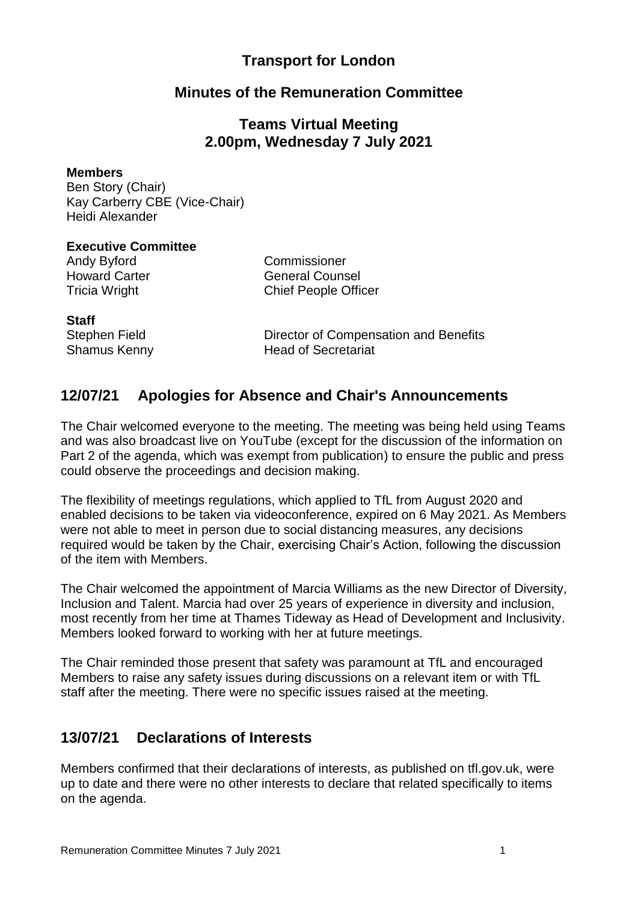### **Transport for London**

### **Minutes of the Remuneration Committee**

### **Teams Virtual Meeting 2.00pm, Wednesday 7 July 2021**

#### **Members**

Ben Story (Chair) Kay Carberry CBE (Vice-Chair) Heidi Alexander

#### **Executive Committee**

Andy Byford Commissioner

Howard Carter **General Counsel** Tricia Wright Chief People Officer

**Staff**

Stephen Field Director of Compensation and Benefits Shamus Kenny Head of Secretariat

### **12/07/21 Apologies for Absence and Chair's Announcements**

The Chair welcomed everyone to the meeting. The meeting was being held using Teams and was also broadcast live on YouTube (except for the discussion of the information on Part 2 of the agenda, which was exempt from publication) to ensure the public and press could observe the proceedings and decision making.

The flexibility of meetings regulations, which applied to TfL from August 2020 and enabled decisions to be taken via videoconference, expired on 6 May 2021. As Members were not able to meet in person due to social distancing measures, any decisions required would be taken by the Chair, exercising Chair's Action, following the discussion of the item with Members.

The Chair welcomed the appointment of Marcia Williams as the new Director of Diversity, Inclusion and Talent. Marcia had over 25 years of experience in diversity and inclusion, most recently from her time at Thames Tideway as Head of Development and Inclusivity. Members looked forward to working with her at future meetings.

The Chair reminded those present that safety was paramount at TfL and encouraged Members to raise any safety issues during discussions on a relevant item or with TfL staff after the meeting. There were no specific issues raised at the meeting.

# **13/07/21 Declarations of Interests**

Members confirmed that their declarations of interests, as published on tfl.gov.uk, were up to date and there were no other interests to declare that related specifically to items on the agenda.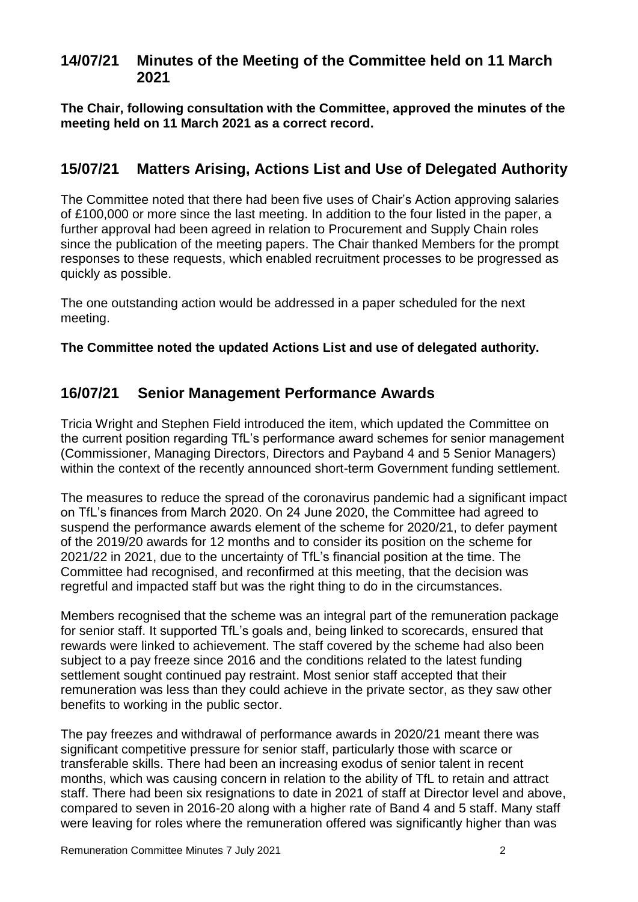### **14/07/21 Minutes of the Meeting of the Committee held on 11 March 2021**

**The Chair, following consultation with the Committee, approved the minutes of the meeting held on 11 March 2021 as a correct record.**

# **15/07/21 Matters Arising, Actions List and Use of Delegated Authority**

The Committee noted that there had been five uses of Chair's Action approving salaries of £100,000 or more since the last meeting. In addition to the four listed in the paper, a further approval had been agreed in relation to Procurement and Supply Chain roles since the publication of the meeting papers. The Chair thanked Members for the prompt responses to these requests, which enabled recruitment processes to be progressed as quickly as possible.

The one outstanding action would be addressed in a paper scheduled for the next meeting.

#### **The Committee noted the updated Actions List and use of delegated authority.**

### **16/07/21 Senior Management Performance Awards**

Tricia Wright and Stephen Field introduced the item, which updated the Committee on the current position regarding TfL's performance award schemes for senior management (Commissioner, Managing Directors, Directors and Payband 4 and 5 Senior Managers) within the context of the recently announced short-term Government funding settlement.

The measures to reduce the spread of the coronavirus pandemic had a significant impact on TfL's finances from March 2020. On 24 June 2020, the Committee had agreed to suspend the performance awards element of the scheme for 2020/21, to defer payment of the 2019/20 awards for 12 months and to consider its position on the scheme for 2021/22 in 2021, due to the uncertainty of TfL's financial position at the time. The Committee had recognised, and reconfirmed at this meeting, that the decision was regretful and impacted staff but was the right thing to do in the circumstances.

Members recognised that the scheme was an integral part of the remuneration package for senior staff. It supported TfL's goals and, being linked to scorecards, ensured that rewards were linked to achievement. The staff covered by the scheme had also been subject to a pay freeze since 2016 and the conditions related to the latest funding settlement sought continued pay restraint. Most senior staff accepted that their remuneration was less than they could achieve in the private sector, as they saw other benefits to working in the public sector.

The pay freezes and withdrawal of performance awards in 2020/21 meant there was significant competitive pressure for senior staff, particularly those with scarce or transferable skills. There had been an increasing exodus of senior talent in recent months, which was causing concern in relation to the ability of TfL to retain and attract staff. There had been six resignations to date in 2021 of staff at Director level and above, compared to seven in 2016-20 along with a higher rate of Band 4 and 5 staff. Many staff were leaving for roles where the remuneration offered was significantly higher than was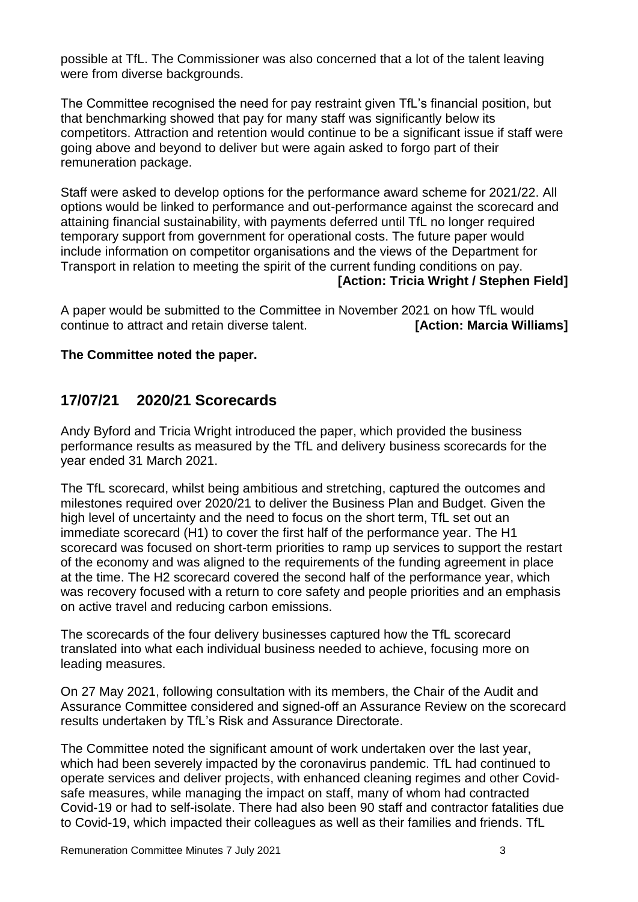possible at TfL. The Commissioner was also concerned that a lot of the talent leaving were from diverse backgrounds.

The Committee recognised the need for pay restraint given TfL's financial position, but that benchmarking showed that pay for many staff was significantly below its competitors. Attraction and retention would continue to be a significant issue if staff were going above and beyond to deliver but were again asked to forgo part of their remuneration package.

Staff were asked to develop options for the performance award scheme for 2021/22. All options would be linked to performance and out-performance against the scorecard and attaining financial sustainability, with payments deferred until TfL no longer required temporary support from government for operational costs. The future paper would include information on competitor organisations and the views of the Department for Transport in relation to meeting the spirit of the current funding conditions on pay.

#### **[Action: Tricia Wright / Stephen Field]**

A paper would be submitted to the Committee in November 2021 on how TfL would continue to attract and retain diverse talent. **[Action: Marcia Williams]**

#### **The Committee noted the paper.**

### **17/07/21 2020/21 Scorecards**

Andy Byford and Tricia Wright introduced the paper, which provided the business performance results as measured by the TfL and delivery business scorecards for the year ended 31 March 2021.

The TfL scorecard, whilst being ambitious and stretching, captured the outcomes and milestones required over 2020/21 to deliver the Business Plan and Budget. Given the high level of uncertainty and the need to focus on the short term, TfL set out an immediate scorecard (H1) to cover the first half of the performance year. The H1 scorecard was focused on short-term priorities to ramp up services to support the restart of the economy and was aligned to the requirements of the funding agreement in place at the time. The H2 scorecard covered the second half of the performance year, which was recovery focused with a return to core safety and people priorities and an emphasis on active travel and reducing carbon emissions.

The scorecards of the four delivery businesses captured how the TfL scorecard translated into what each individual business needed to achieve, focusing more on leading measures.

On 27 May 2021, following consultation with its members, the Chair of the Audit and Assurance Committee considered and signed-off an Assurance Review on the scorecard results undertaken by TfL's Risk and Assurance Directorate.

The Committee noted the significant amount of work undertaken over the last year, which had been severely impacted by the coronavirus pandemic. TfL had continued to operate services and deliver projects, with enhanced cleaning regimes and other Covidsafe measures, while managing the impact on staff, many of whom had contracted Covid-19 or had to self-isolate. There had also been 90 staff and contractor fatalities due to Covid-19, which impacted their colleagues as well as their families and friends. TfL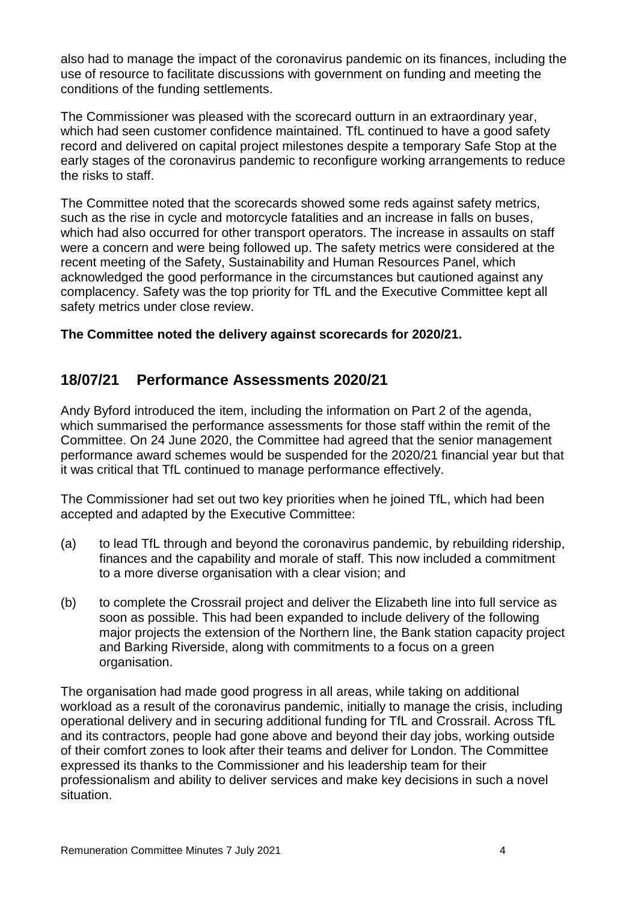also had to manage the impact of the coronavirus pandemic on its finances, including the use of resource to facilitate discussions with government on funding and meeting the conditions of the funding settlements.

The Commissioner was pleased with the scorecard outturn in an extraordinary year, which had seen customer confidence maintained. TfL continued to have a good safety record and delivered on capital project milestones despite a temporary Safe Stop at the early stages of the coronavirus pandemic to reconfigure working arrangements to reduce the risks to staff.

The Committee noted that the scorecards showed some reds against safety metrics, such as the rise in cycle and motorcycle fatalities and an increase in falls on buses, which had also occurred for other transport operators. The increase in assaults on staff were a concern and were being followed up. The safety metrics were considered at the recent meeting of the Safety, Sustainability and Human Resources Panel, which acknowledged the good performance in the circumstances but cautioned against any complacency. Safety was the top priority for TfL and the Executive Committee kept all safety metrics under close review.

**The Committee noted the delivery against scorecards for 2020/21.**

# **18/07/21 Performance Assessments 2020/21**

Andy Byford introduced the item, including the information on Part 2 of the agenda, which summarised the performance assessments for those staff within the remit of the Committee. On 24 June 2020, the Committee had agreed that the senior management performance award schemes would be suspended for the 2020/21 financial year but that it was critical that TfL continued to manage performance effectively.

The Commissioner had set out two key priorities when he joined TfL, which had been accepted and adapted by the Executive Committee:

- (a) to lead TfL through and beyond the coronavirus pandemic, by rebuilding ridership, finances and the capability and morale of staff. This now included a commitment to a more diverse organisation with a clear vision; and
- (b) to complete the Crossrail project and deliver the Elizabeth line into full service as soon as possible. This had been expanded to include delivery of the following major projects the extension of the Northern line, the Bank station capacity project and Barking Riverside, along with commitments to a focus on a green organisation.

The organisation had made good progress in all areas, while taking on additional workload as a result of the coronavirus pandemic, initially to manage the crisis, including operational delivery and in securing additional funding for TfL and Crossrail. Across TfL and its contractors, people had gone above and beyond their day jobs, working outside of their comfort zones to look after their teams and deliver for London. The Committee expressed its thanks to the Commissioner and his leadership team for their professionalism and ability to deliver services and make key decisions in such a novel situation.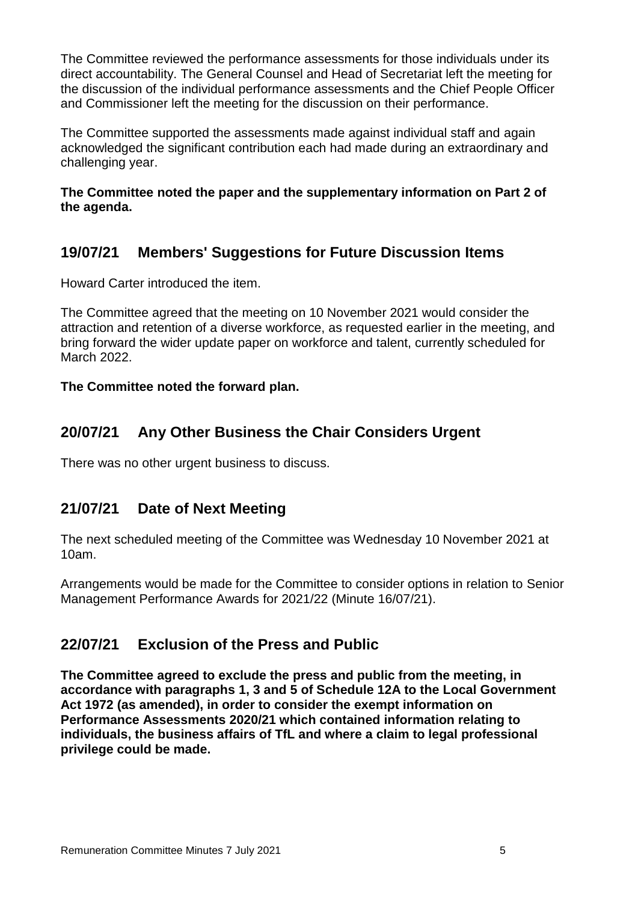The Committee reviewed the performance assessments for those individuals under its direct accountability. The General Counsel and Head of Secretariat left the meeting for the discussion of the individual performance assessments and the Chief People Officer and Commissioner left the meeting for the discussion on their performance.

The Committee supported the assessments made against individual staff and again acknowledged the significant contribution each had made during an extraordinary and challenging year.

**The Committee noted the paper and the supplementary information on Part 2 of the agenda.**

# **19/07/21 Members' Suggestions for Future Discussion Items**

Howard Carter introduced the item.

The Committee agreed that the meeting on 10 November 2021 would consider the attraction and retention of a diverse workforce, as requested earlier in the meeting, and bring forward the wider update paper on workforce and talent, currently scheduled for March 2022.

#### **The Committee noted the forward plan.**

# **20/07/21 Any Other Business the Chair Considers Urgent**

There was no other urgent business to discuss.

#### **21/07/21 Date of Next Meeting**

The next scheduled meeting of the Committee was Wednesday 10 November 2021 at 10am.

Arrangements would be made for the Committee to consider options in relation to Senior Management Performance Awards for 2021/22 (Minute 16/07/21).

# **22/07/21 Exclusion of the Press and Public**

**The Committee agreed to exclude the press and public from the meeting, in accordance with paragraphs 1, 3 and 5 of Schedule 12A to the Local Government Act 1972 (as amended), in order to consider the exempt information on Performance Assessments 2020/21 which contained information relating to individuals, the business affairs of TfL and where a claim to legal professional privilege could be made.**